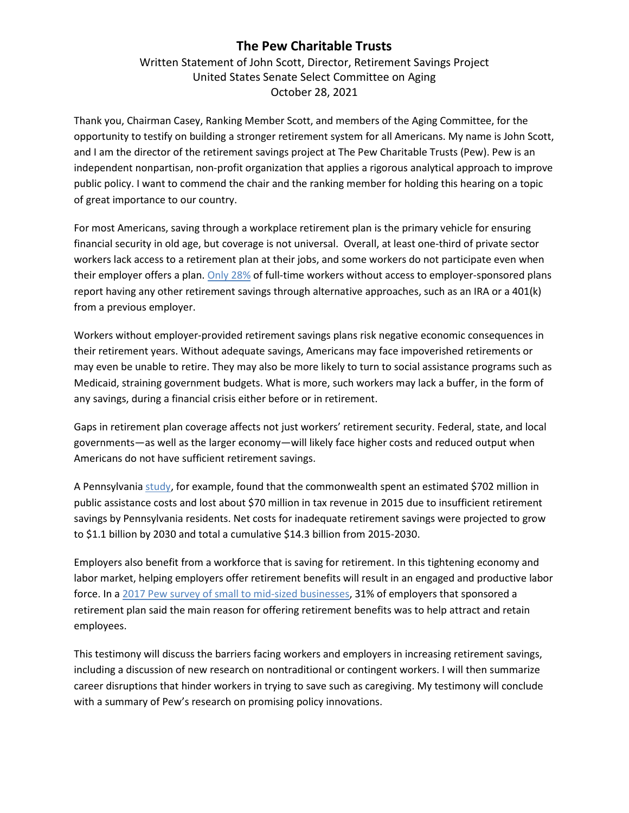# **The Pew Charitable Trusts**

Written Statement of John Scott, Director, Retirement Savings Project United States Senate Select Committee on Aging October 28, 2021

Thank you, Chairman Casey, Ranking Member Scott, and members of the Aging Committee, for the opportunity to testify on building a stronger retirement system for all Americans. My name is John Scott, and I am the director of the retirement savings project at The Pew Charitable Trusts (Pew). Pew is an independent nonpartisan, non-profit organization that applies a rigorous analytical approach to improve public policy. I want to commend the chair and the ranking member for holding this hearing on a topic of great importance to our country.

For most Americans, saving through a workplace retirement plan is the primary vehicle for ensuring financial security in old age, but coverage is not universal. Overall, at least one-third of private sector workers lack access to a retirement plan at their jobs, and some workers do not participate even when their employer offers a plan. [Only 28%](https://www.pewtrusts.org/en/research-and-analysis/reports/2017/09/survey-highlights-worker-perspectives-on-barriers-to-retirement-saving) of full-time workers without access to employer-sponsored plans report having any other retirement savings through alternative approaches, such as an IRA or a 401(k) from a previous employer.

Workers without employer-provided retirement savings plans risk negative economic consequences in their retirement years. Without adequate savings, Americans may face impoverished retirements or may even be unable to retire. They may also be more likely to turn to social assistance programs such as Medicaid, straining government budgets. What is more, such workers may lack a buffer, in the form of any savings, during a financial crisis either before or in retirement.

Gaps in retirement plan coverage affects not just workers' retirement security. Federal, state, and local governments—as well as the larger economy—will likely face higher costs and reduced output when Americans do not have sufficient retirement savings.

A Pennsylvania [study,](https://patreasury.gov/newsroom/archive/2018/01-25-Insufficient-Retirement-Savings.html) for example, found that the commonwealth spent an estimated \$702 million in public assistance costs and lost about \$70 million in tax revenue in 2015 due to insufficient retirement savings by Pennsylvania residents. Net costs for inadequate retirement savings were projected to grow to \$1.1 billion by 2030 and total a cumulative \$14.3 billion from 2015-2030.

Employers also benefit from a workforce that is saving for retirement. In this tightening economy and labor market, helping employers offer retirement benefits will result in an engaged and productive labor force. In a [2017 Pew survey of small to mid-sized businesses,](https://www.pewtrusts.org/en/research-and-analysis/issue-briefs/2017/06/employer-barriers-to-and-motivations-for-offering-retirement-benefits) 31% of employers that sponsored a retirement plan said the main reason for offering retirement benefits was to help attract and retain employees.

This testimony will discuss the barriers facing workers and employers in increasing retirement savings, including a discussion of new research on nontraditional or contingent workers. I will then summarize career disruptions that hinder workers in trying to save such as caregiving. My testimony will conclude with a summary of Pew's research on promising policy innovations.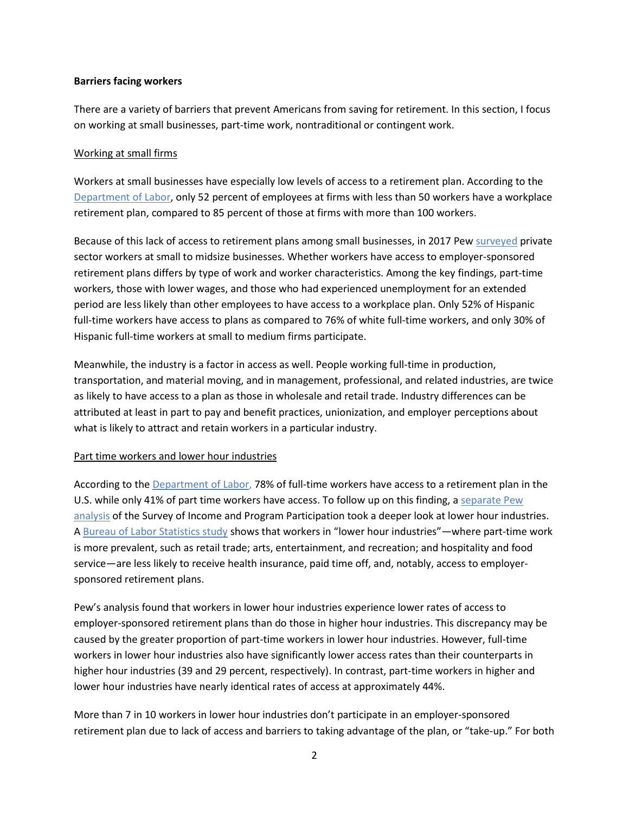#### **Barriers facing workers**

There are a variety of barriers that prevent Americans from saving for retirement. In this section, I focus on working at small businesses, part-time work, nontraditional or contingent work.

#### Working at small firms

Workers at small businesses have especially low levels of access to a retirement plan. According to the [Department of Labor,](https://www.bls.gov/news.release/archives/ebs2_07212017.htm) only 52 percent of employees at firms with less than 50 workers have a workplace retirement plan, compared to 85 percent of those at firms with more than 100 workers.

Because of this lack of access to retirement plans among small businesses, in 2017 Pew [surveye](https://www.pewtrusts.org/en/research-and-analysis/reports/2017/09/survey-highlights-worker-perspectives-on-barriers-to-retirement-saving)d private sector workers at small to midsize businesses. Whether workers have access to employer-sponsored retirement plans differs by type of work and worker characteristics. Among the key findings, part-time workers, those with lower wages, and those who had experienced unemployment for an extended period are less likely than other employees to have access to a workplace plan. Only 52% of Hispanic full-time workers have access to plans as compared to 76% of white full-time workers, and only 30% of Hispanic full-time workers at small to medium firms participate.

Meanwhile, the industry is a factor in access as well. People working full-time in production, transportation, and material moving, and in management, professional, and related industries, are twice as likely to have access to a plan as those in wholesale and retail trade. Industry differences can be attributed at least in part to pay and benefit practices, unionization, and employer perceptions about what is likely to attract and retain workers in a particular industry.

## Part time workers and lower hour industries

According to th[e Department of Labor,](https://www.bls.gov/news.release/archives/ebs2_09232021.htm) 78% of full-time workers have access to a retirement plan in the U.S. while only 41% of part time workers have access. To follow up on this finding, a [separate Pew](https://www.pewtrusts.org/en/research-and-analysis/issue-briefs/2016/11/having-a-retirement-plan-can-depend-on-industry-or-hours-worked)  [analysis](https://www.pewtrusts.org/en/research-and-analysis/issue-briefs/2016/11/having-a-retirement-plan-can-depend-on-industry-or-hours-worked) of the Survey of Income and Program Participation took a deeper look at lower hour industries. A [Bureau of Labor Statistics study](http://www.bls.gov/opub/mlr/2015/article/pdf/the-relationship-between-access-to-benefits-and-weekly-work-hours.pdf) shows that workers in "lower hour industries"—where part-time work is more prevalent, such as retail trade; arts, entertainment, and recreation; and hospitality and food service—are less likely to receive health insurance, paid time off, and, notably, access to employersponsored retirement plans.

Pew's analysis found that workers in lower hour industries experience lower rates of access to employer-sponsored retirement plans than do those in higher hour industries. This discrepancy may be caused by the greater proportion of part-time workers in lower hour industries. However, full-time workers in lower hour industries also have significantly lower access rates than their counterparts in higher hour industries (39 and 29 percent, respectively). In contrast, part-time workers in higher and lower hour industries have nearly identical rates of access at approximately 44%.

More than 7 in 10 workers in lower hour industries don't participate in an employer-sponsored retirement plan due to lack of access and barriers to taking advantage of the plan, or "take-up." For both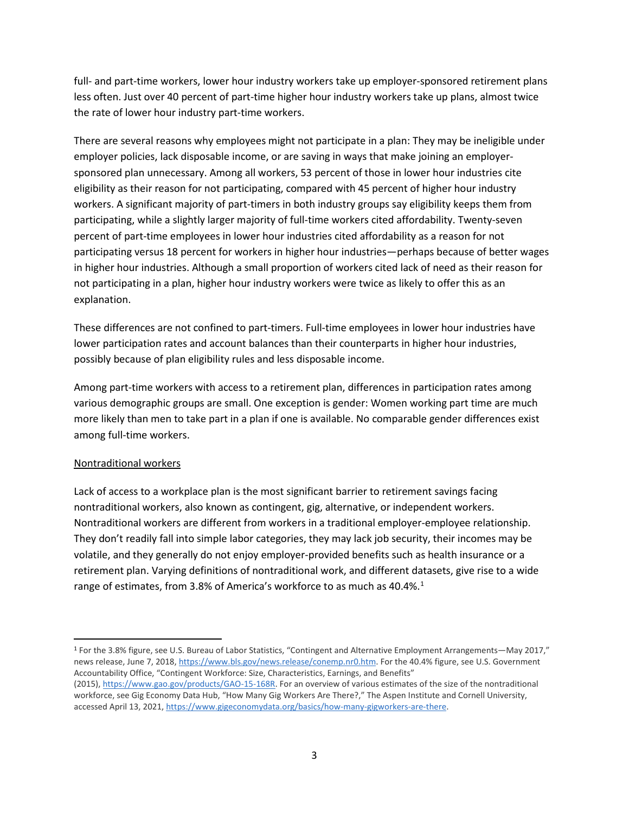full- and part-time workers, lower hour industry workers take up employer-sponsored retirement plans less often. Just over 40 percent of part-time higher hour industry workers take up plans, almost twice the rate of lower hour industry part-time workers.

There are several reasons why employees might not participate in a plan: They may be ineligible under employer policies, lack disposable income, or are saving in ways that make joining an employersponsored plan unnecessary. Among all workers, 53 percent of those in lower hour industries cite eligibility as their reason for not participating, compared with 45 percent of higher hour industry workers. A significant majority of part-timers in both industry groups say eligibility keeps them from participating, while a slightly larger majority of full-time workers cited affordability. Twenty-seven percent of part-time employees in lower hour industries cited affordability as a reason for not participating versus 18 percent for workers in higher hour industries—perhaps because of better wages in higher hour industries. Although a small proportion of workers cited lack of need as their reason for not participating in a plan, higher hour industry workers were twice as likely to offer this as an explanation.

These differences are not confined to part-timers. Full-time employees in lower hour industries have lower participation rates and account balances than their counterparts in higher hour industries, possibly because of plan eligibility rules and less disposable income.

Among part-time workers with access to a retirement plan, differences in participation rates among various demographic groups are small. One exception is gender: Women working part time are much more likely than men to take part in a plan if one is available. No comparable gender differences exist among full-time workers.

## Nontraditional workers

Lack of access to a workplace plan is the most significant barrier to retirement savings facing nontraditional workers, also known as contingent, gig, alternative, or independent workers. Nontraditional workers are different from workers in a traditional employer-employee relationship. They don't readily fall into simple labor categories, they may lack job security, their incomes may be volatile, and they generally do not enjoy employer-provided benefits such as health insurance or a retirement plan. Varying definitions of nontraditional work, and different datasets, give rise to a wide range of estimates, from 3.8% of America's workforce to as much as 40.4%.<sup>1</sup>

<span id="page-2-0"></span> <sup>1</sup> For the 3.8% figure, see U.S. Bureau of Labor Statistics, "Contingent and Alternative Employment Arrangements—May 2017," news release, June 7, 2018, [https://www.bls.gov/news.release/conemp.nr0.htm.](https://www.bls.gov/news.release/conemp.nr0.htm) For the 40.4% figure, see U.S. Government Accountability Office, "Contingent Workforce: Size, Characteristics, Earnings, and Benefits"

<sup>(2015),</sup> [https://www.gao.gov/products/GAO-15-168R.](https://www.gao.gov/products/GAO-15-168R) For an overview of various estimates of the size of the nontraditional workforce, see Gig Economy Data Hub, "How Many Gig Workers Are There?," The Aspen Institute and Cornell University, accessed April 13, 2021, [https://www.gigeconomydata.org/basics/how-many-gigworkers-are-there.](https://www.gigeconomydata.org/basics/how-many-gigworkers-are-there)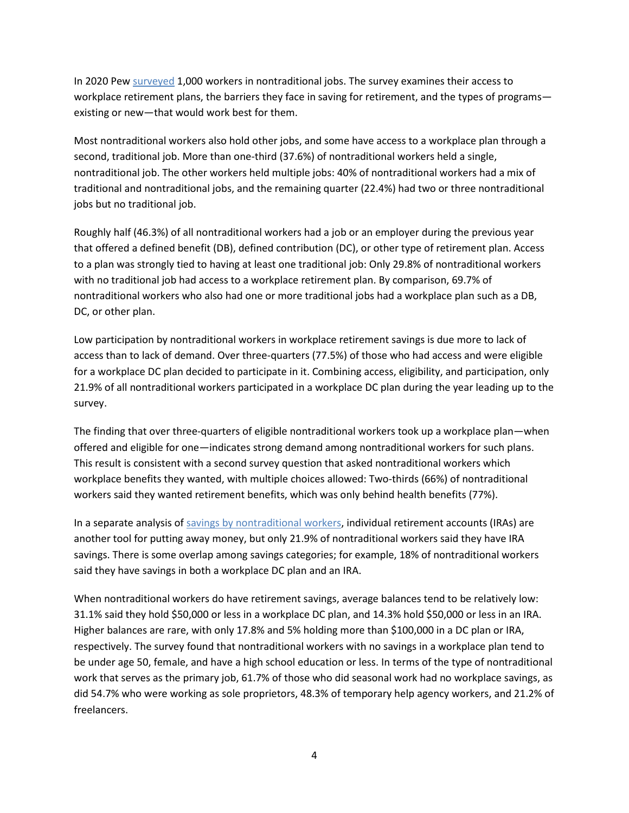In 2020 Pew [surveyed](https://www.pewtrusts.org/en/research-and-analysis/issue-briefs/2021/10/nontraditional-workers-lack-access-to-workplace-retirement-options) 1,000 workers in nontraditional jobs. The survey examines their access to workplace retirement plans, the barriers they face in saving for retirement, and the types of programs existing or new—that would work best for them.

Most nontraditional workers also hold other jobs, and some have access to a workplace plan through a second, traditional job. More than one-third (37.6%) of nontraditional workers held a single, nontraditional job. The other workers held multiple jobs: 40% of nontraditional workers had a mix of traditional and nontraditional jobs, and the remaining quarter (22.4%) had two or three nontraditional jobs but no traditional job.

Roughly half (46.3%) of all nontraditional workers had a job or an employer during the previous year that offered a defined benefit (DB), defined contribution (DC), or other type of retirement plan. Access to a plan was strongly tied to having at least one traditional job: Only 29.8% of nontraditional workers with no traditional job had access to a workplace retirement plan. By comparison, 69.7% of nontraditional workers who also had one or more traditional jobs had a workplace plan such as a DB, DC, or other plan.

Low participation by nontraditional workers in workplace retirement savings is due more to lack of access than to lack of demand. Over three-quarters (77.5%) of those who had access and were eligible for a workplace DC plan decided to participate in it. Combining access, eligibility, and participation, only 21.9% of all nontraditional workers participated in a workplace DC plan during the year leading up to the survey.

The finding that over three-quarters of eligible nontraditional workers took up a workplace plan—when offered and eligible for one—indicates strong demand among nontraditional workers for such plans. This result is consistent with a second survey question that asked nontraditional workers which workplace benefits they wanted, with multiple choices allowed: Two-thirds (66%) of nontraditional workers said they wanted retirement benefits, which was only behind health benefits (77%).

In a separate analysis o[f savings by nontraditional workers,](https://www.pewtrusts.org/en/research-and-analysis/articles/2021/07/13/freelancers-sole-proprietors-and-other-nontraditional-workers-have-little-retirement-savings) individual retirement accounts (IRAs) are another tool for putting away money, but only 21.9% of nontraditional workers said they have IRA savings. There is some overlap among savings categories; for example, 18% of nontraditional workers said they have savings in both a workplace DC plan and an IRA.

When nontraditional workers do have retirement savings, average balances tend to be relatively low: 31.1% said they hold \$50,000 or less in a workplace DC plan, and 14.3% hold \$50,000 or less in an IRA. Higher balances are rare, with only 17.8% and 5% holding more than \$100,000 in a DC plan or IRA, respectively. The survey found that nontraditional workers with no savings in a workplace plan tend to be under age 50, female, and have a high school education or less. In terms of the type of nontraditional work that serves as the primary job, 61.7% of those who did seasonal work had no workplace savings, as did 54.7% who were working as sole proprietors, 48.3% of temporary help agency workers, and 21.2% of freelancers.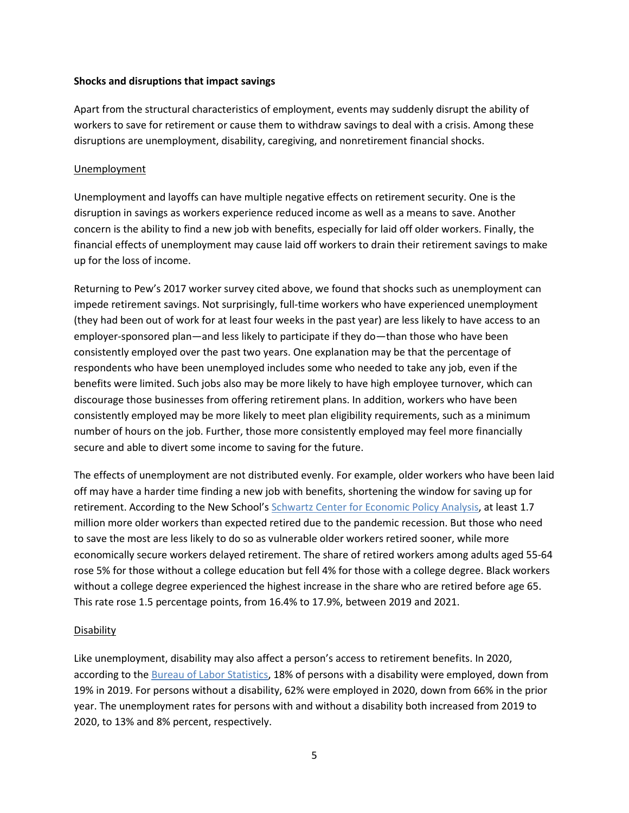#### **Shocks and disruptions that impact savings**

Apart from the structural characteristics of employment, events may suddenly disrupt the ability of workers to save for retirement or cause them to withdraw savings to deal with a crisis. Among these disruptions are unemployment, disability, caregiving, and nonretirement financial shocks.

#### Unemployment

Unemployment and layoffs can have multiple negative effects on retirement security. One is the disruption in savings as workers experience reduced income as well as a means to save. Another concern is the ability to find a new job with benefits, especially for laid off older workers. Finally, the financial effects of unemployment may cause laid off workers to drain their retirement savings to make up for the loss of income.

Returning to Pew's 2017 worker survey cited above, we found that shocks such as unemployment can impede retirement savings. Not surprisingly, full-time workers who have experienced unemployment (they had been out of work for at least four weeks in the past year) are less likely to have access to an employer-sponsored plan—and less likely to participate if they do—than those who have been consistently employed over the past two years. One explanation may be that the percentage of respondents who have been unemployed includes some who needed to take any job, even if the benefits were limited. Such jobs also may be more likely to have high employee turnover, which can discourage those businesses from offering retirement plans. In addition, workers who have been consistently employed may be more likely to meet plan eligibility requirements, such as a minimum number of hours on the job. Further, those more consistently employed may feel more financially secure and able to divert some income to saving for the future.

The effects of unemployment are not distributed evenly. For example, older workers who have been laid off may have a harder time finding a new job with benefits, shortening the window for saving up for retirement. According to the New School's [Schwartz Center for Economic Policy Analysis,](https://www.economicpolicyresearch.org/jobs-report/the-pandemic-retirement-surge-increased-retirement-inequality) at least 1.7 million more older workers than expected retired due to the pandemic recession. But those who need to save the most are less likely to do so as vulnerable older workers retired sooner, while more economically secure workers delayed retirement. The share of retired workers among adults aged 55-64 rose 5% for those without a college education but fell 4% for those with a college degree. Black workers without a college degree experienced the highest increase in the share who are retired before age 65. This rate rose 1.5 percentage points, from 16.4% to 17.9%, between 2019 and 2021.

#### **Disability**

Like unemployment, disability may also affect a person's access to retirement benefits. In 2020, according to the [Bureau of Labor Statistics,](https://www.bls.gov/news.release/disabl.nr0.htm) 18% of persons with a disability were employed, down from 19% in 2019. For persons without a disability, 62% were employed in 2020, down from 66% in the prior year. The unemployment rates for persons with and without a disability both increased from 2019 to 2020, to 13% and 8% percent, respectively.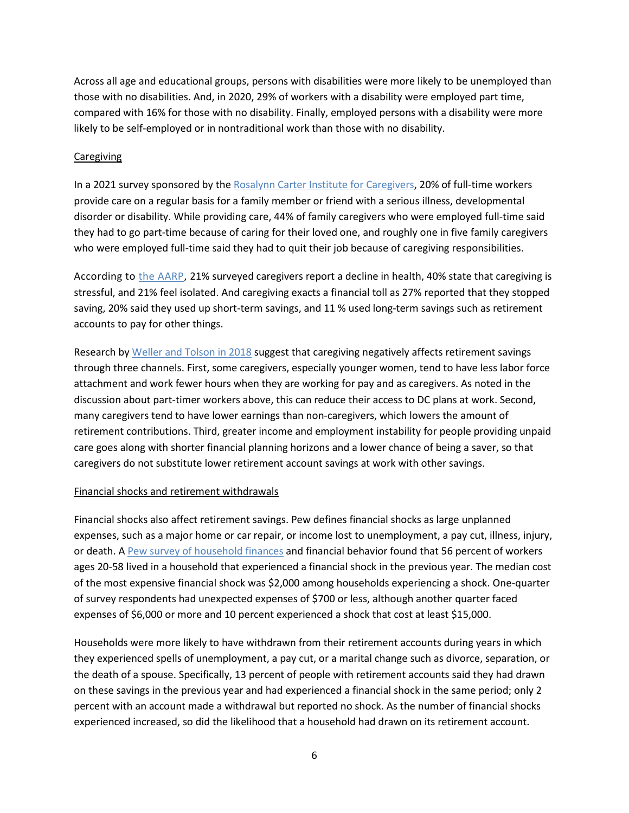Across all age and educational groups, persons with disabilities were more likely to be unemployed than those with no disabilities. And, in 2020, 29% of workers with a disability were employed part time, compared with 16% for those with no disability. Finally, employed persons with a disability were more likely to be self-employed or in nontraditional work than those with no disability.

#### **Caregiving**

In a 2021 survey sponsored by th[e Rosalynn Carter Institute for Caregivers,](https://www.rosalynncarter.org/wp-content/uploads/2021/09/210140-RCI-National-Surveys-Executive-Summary-Update-9.22.21.pdf) 20% of full-time workers provide care on a regular basis for a family member or friend with a serious illness, developmental disorder or disability. While providing care, 44% of family caregivers who were employed full-time said they had to go part-time because of caring for their loved one, and roughly one in five family caregivers who were employed full-time said they had to quit their job because of caregiving responsibilities.

According to [the AARP,](https://www.caregiving.org/wp-content/uploads/2021/05/AARP1340_RR_Caregiving50Plus_508.pdf) 21% surveyed caregivers report a decline in health, 40% state that caregiving is stressful, and 21% feel isolated. And caregiving exacts a financial toll as 27% reported that they stopped saving, 20% said they used up short-term savings, and 11 % used long-term savings such as retirement accounts to pay for other things.

Research b[y Weller and Tolson](https://jor.pm-research.com/content/6/2/61/tab-pdf-trialist) in 2018 suggest that caregiving negatively affects retirement savings through three channels. First, some caregivers, especially younger women, tend to have less labor force attachment and work fewer hours when they are working for pay and as caregivers. As noted in the discussion about part-timer workers above, this can reduce their access to DC plans at work. Second, many caregivers tend to have lower earnings than non-caregivers, which lowers the amount of retirement contributions. Third, greater income and employment instability for people providing unpaid care goes along with shorter financial planning horizons and a lower chance of being a saver, so that caregivers do not substitute lower retirement account savings at work with other savings.

## Financial shocks and retirement withdrawals

Financial shocks also affect retirement savings. Pew defines financial shocks as large unplanned expenses, such as a major home or car repair, or income lost to unemployment, a pay cut, illness, injury, or death. A [Pew survey of household finances](https://www.pewtrusts.org/en/research-and-analysis/issue-briefs/2017/10/financial-shocks-put-retirement-security-at-risk) and financial behavior found that 56 percent of workers ages 20-58 lived in a household that experienced a financial shock in the previous year. The median cost of the most expensive financial shock was \$2,000 among households experiencing a shock. One-quarter of survey respondents had unexpected expenses of \$700 or less, although another quarter faced expenses of \$6,000 or more and 10 percent experienced a shock that cost at least \$15,000.

Households were more likely to have withdrawn from their retirement accounts during years in which they experienced spells of unemployment, a pay cut, or a marital change such as divorce, separation, or the death of a spouse. Specifically, 13 percent of people with retirement accounts said they had drawn on these savings in the previous year and had experienced a financial shock in the same period; only 2 percent with an account made a withdrawal but reported no shock. As the number of financial shocks experienced increased, so did the likelihood that a household had drawn on its retirement account.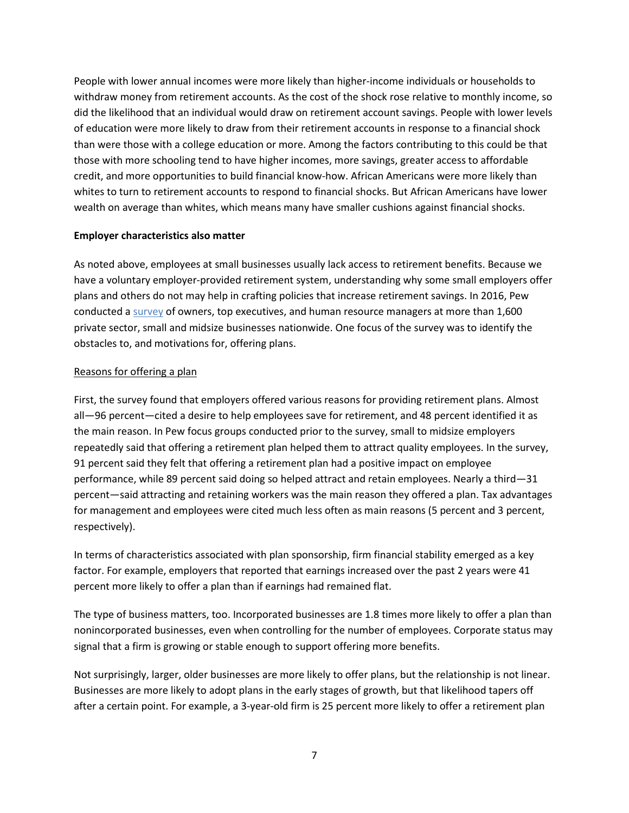People with lower annual incomes were more likely than higher-income individuals or households to withdraw money from retirement accounts. As the cost of the shock rose relative to monthly income, so did the likelihood that an individual would draw on retirement account savings. People with lower levels of education were more likely to draw from their retirement accounts in response to a financial shock than were those with a college education or more. Among the factors contributing to this could be that those with more schooling tend to have higher incomes, more savings, greater access to affordable credit, and more opportunities to build financial know-how. African Americans were more likely than whites to turn to retirement accounts to respond to financial shocks. But African Americans have lower wealth on average than whites, which means many have smaller cushions against financial shocks.

#### **Employer characteristics also matter**

As noted above, employees at small businesses usually lack access to retirement benefits. Because we have a voluntary employer-provided retirement system, understanding why some small employers offer plans and others do not may help in crafting policies that increase retirement savings. In 2016, Pew conducted [a survey](https://www.pewtrusts.org/en/research-and-analysis/issue-briefs/2017/06/employer-barriers-to-and-motivations-for-offering-retirement-benefits) of owners, top executives, and human resource managers at more than 1,600 private sector, small and midsize businesses nationwide. One focus of the survey was to identify the obstacles to, and motivations for, offering plans.

#### Reasons for offering a plan

First, the survey found that employers offered various reasons for providing retirement plans. Almost all—96 percent—cited a desire to help employees save for retirement, and 48 percent identified it as the main reason. In Pew focus groups conducted prior to the survey, small to midsize employers repeatedly said that offering a retirement plan helped them to attract quality employees. In the survey, 91 percent said they felt that offering a retirement plan had a positive impact on employee performance, while 89 percent said doing so helped attract and retain employees. Nearly a third—31 percent—said attracting and retaining workers was the main reason they offered a plan. Tax advantages for management and employees were cited much less often as main reasons (5 percent and 3 percent, respectively).

In terms of characteristics associated with plan sponsorship, firm financial stability emerged as a key factor. For example, employers that reported that earnings increased over the past 2 years were 41 percent more likely to offer a plan than if earnings had remained flat.

The type of business matters, too. Incorporated businesses are 1.8 times more likely to offer a plan than nonincorporated businesses, even when controlling for the number of employees. Corporate status may signal that a firm is growing or stable enough to support offering more benefits.

Not surprisingly, larger, older businesses are more likely to offer plans, but the relationship is not linear. Businesses are more likely to adopt plans in the early stages of growth, but that likelihood tapers off after a certain point. For example, a 3-year-old firm is 25 percent more likely to offer a retirement plan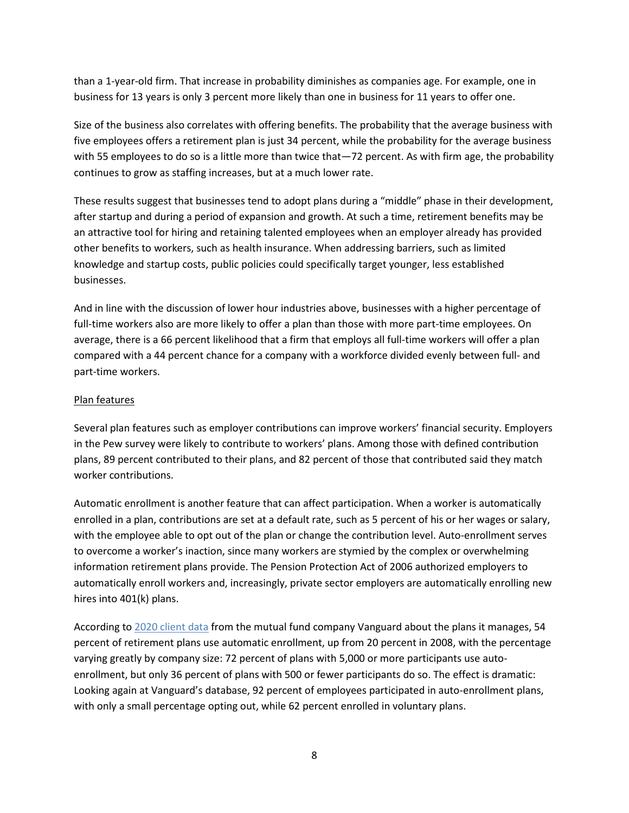than a 1-year-old firm. That increase in probability diminishes as companies age. For example, one in business for 13 years is only 3 percent more likely than one in business for 11 years to offer one.

Size of the business also correlates with offering benefits. The probability that the average business with five employees offers a retirement plan is just 34 percent, while the probability for the average business with 55 employees to do so is a little more than twice that -72 percent. As with firm age, the probability continues to grow as staffing increases, but at a much lower rate.

These results suggest that businesses tend to adopt plans during a "middle" phase in their development, after startup and during a period of expansion and growth. At such a time, retirement benefits may be an attractive tool for hiring and retaining talented employees when an employer already has provided other benefits to workers, such as health insurance. When addressing barriers, such as limited knowledge and startup costs, public policies could specifically target younger, less established businesses.

And in line with the discussion of lower hour industries above, businesses with a higher percentage of full-time workers also are more likely to offer a plan than those with more part-time employees. On average, there is a 66 percent likelihood that a firm that employs all full-time workers will offer a plan compared with a 44 percent chance for a company with a workforce divided evenly between full- and part-time workers.

## Plan features

Several plan features such as employer contributions can improve workers' financial security. Employers in the Pew survey were likely to contribute to workers' plans. Among those with defined contribution plans, 89 percent contributed to their plans, and 82 percent of those that contributed said they match worker contributions.

Automatic enrollment is another feature that can affect participation. When a worker is automatically enrolled in a plan, contributions are set at a default rate, such as 5 percent of his or her wages or salary, with the employee able to opt out of the plan or change the contribution level. Auto-enrollment serves to overcome a worker's inaction, since many workers are stymied by the complex or overwhelming information retirement plans provide. The Pension Protection Act of 2006 authorized employers to automatically enroll workers and, increasingly, private sector employers are automatically enrolling new hires into 401(k) plans.

According to 2020 [client data](https://institutional.vanguard.com/how-america-saves/overview.html) from the mutual fund company Vanguard about the plans it manages, 54 percent of retirement plans use automatic enrollment, up from 20 percent in 2008, with the percentage varying greatly by company size: 72 percent of plans with 5,000 or more participants use autoenrollment, but only 36 percent of plans with 500 or fewer participants do so. The effect is dramatic: Looking again at Vanguard's database, 92 percent of employees participated in auto-enrollment plans, with only a small percentage opting out, while 62 percent enrolled in voluntary plans.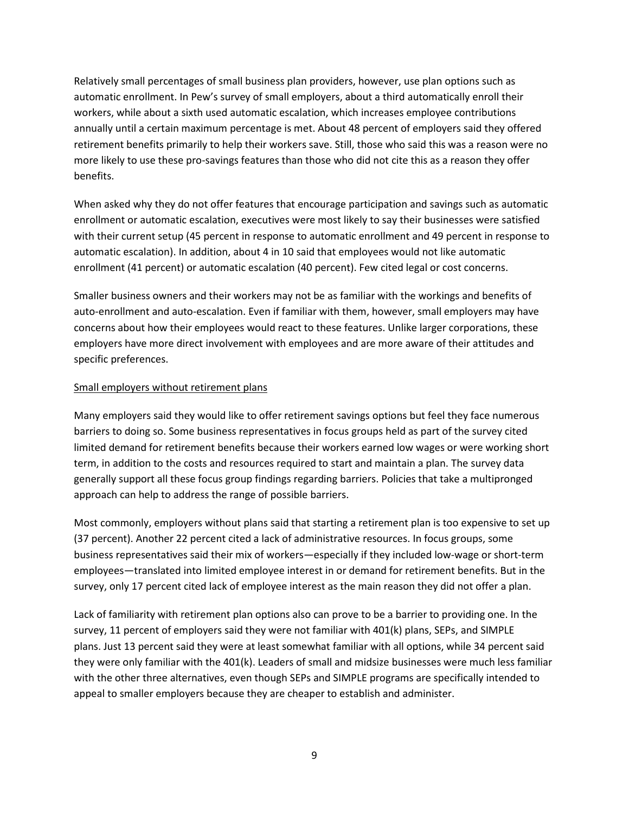Relatively small percentages of small business plan providers, however, use plan options such as automatic enrollment. In Pew's survey of small employers, about a third automatically enroll their workers, while about a sixth used automatic escalation, which increases employee contributions annually until a certain maximum percentage is met. About 48 percent of employers said they offered retirement benefits primarily to help their workers save. Still, those who said this was a reason were no more likely to use these pro-savings features than those who did not cite this as a reason they offer benefits.

When asked why they do not offer features that encourage participation and savings such as automatic enrollment or automatic escalation, executives were most likely to say their businesses were satisfied with their current setup (45 percent in response to automatic enrollment and 49 percent in response to automatic escalation). In addition, about 4 in 10 said that employees would not like automatic enrollment (41 percent) or automatic escalation (40 percent). Few cited legal or cost concerns.

Smaller business owners and their workers may not be as familiar with the workings and benefits of auto-enrollment and auto-escalation. Even if familiar with them, however, small employers may have concerns about how their employees would react to these features. Unlike larger corporations, these employers have more direct involvement with employees and are more aware of their attitudes and specific preferences.

## Small employers without retirement plans

Many employers said they would like to offer retirement savings options but feel they face numerous barriers to doing so. Some business representatives in focus groups held as part of the survey cited limited demand for retirement benefits because their workers earned low wages or were working short term, in addition to the costs and resources required to start and maintain a plan. The survey data generally support all these focus group findings regarding barriers. Policies that take a multipronged approach can help to address the range of possible barriers.

Most commonly, employers without plans said that starting a retirement plan is too expensive to set up (37 percent). Another 22 percent cited a lack of administrative resources. In focus groups, some business representatives said their mix of workers—especially if they included low-wage or short-term employees—translated into limited employee interest in or demand for retirement benefits. But in the survey, only 17 percent cited lack of employee interest as the main reason they did not offer a plan.

Lack of familiarity with retirement plan options also can prove to be a barrier to providing one. In the survey, 11 percent of employers said they were not familiar with 401(k) plans, SEPs, and SIMPLE plans. Just 13 percent said they were at least somewhat familiar with all options, while 34 percent said they were only familiar with the 401(k). Leaders of small and midsize businesses were much less familiar with the other three alternatives, even though SEPs and SIMPLE programs are specifically intended to appeal to smaller employers because they are cheaper to establish and administer.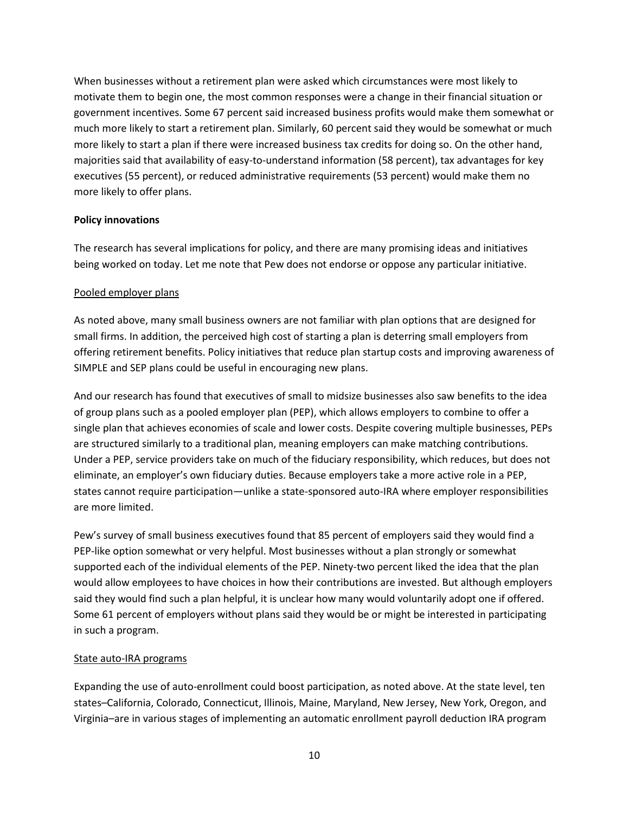When businesses without a retirement plan were asked which circumstances were most likely to motivate them to begin one, the most common responses were a change in their financial situation or government incentives. Some 67 percent said increased business profits would make them somewhat or much more likely to start a retirement plan. Similarly, 60 percent said they would be somewhat or much more likely to start a plan if there were increased business tax credits for doing so. On the other hand, majorities said that availability of easy-to-understand information (58 percent), tax advantages for key executives (55 percent), or reduced administrative requirements (53 percent) would make them no more likely to offer plans.

## **Policy innovations**

The research has several implications for policy, and there are many promising ideas and initiatives being worked on today. Let me note that Pew does not endorse or oppose any particular initiative.

#### Pooled employer plans

As noted above, many small business owners are not familiar with plan options that are designed for small firms. In addition, the perceived high cost of starting a plan is deterring small employers from offering retirement benefits. Policy initiatives that reduce plan startup costs and improving awareness of SIMPLE and SEP plans could be useful in encouraging new plans.

And our research has found that executives of small to midsize businesses also saw benefits to the idea of group plans such as a pooled employer plan (PEP), which allows employers to combine to offer a single plan that achieves economies of scale and lower costs. Despite covering multiple businesses, PEPs are structured similarly to a traditional plan, meaning employers can make matching contributions. Under a PEP, service providers take on much of the fiduciary responsibility, which reduces, but does not eliminate, an employer's own fiduciary duties. Because employers take a more active role in a PEP, states cannot require participation—unlike a state-sponsored auto-IRA where employer responsibilities are more limited.

Pew's survey of small business executives found that 85 percent of employers said they would find a PEP-like option somewhat or very helpful. Most businesses without a plan strongly or somewhat supported each of the individual elements of the PEP. Ninety-two percent liked the idea that the plan would allow employees to have choices in how their contributions are invested. But although employers said they would find such a plan helpful, it is unclear how many would voluntarily adopt one if offered. Some 61 percent of employers without plans said they would be or might be interested in participating in such a program.

## State auto-IRA programs

Expanding the use of auto-enrollment could boost participation, as noted above. At the state level, ten states–California, Colorado, Connecticut, Illinois, Maine, Maryland, New Jersey, New York, Oregon, and Virginia–are in various stages of implementing an automatic enrollment payroll deduction IRA program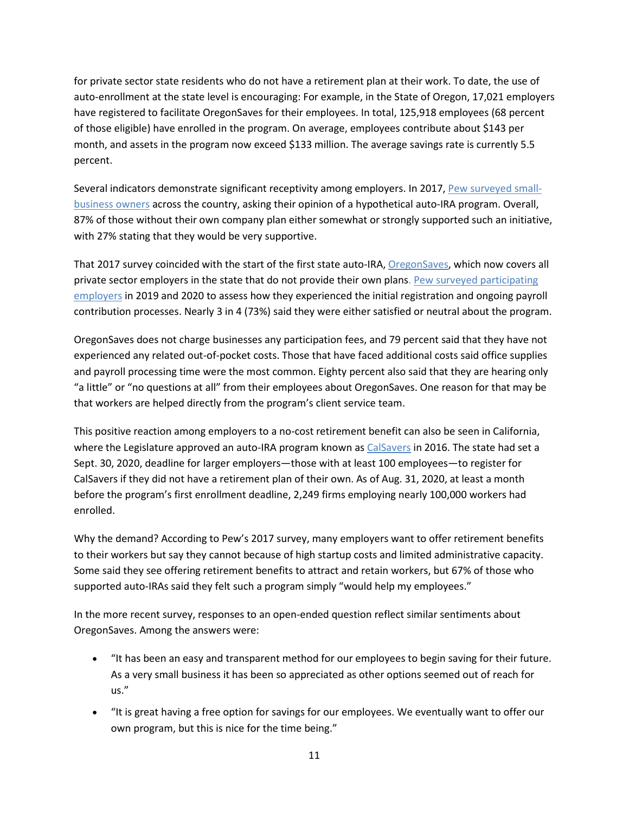for private sector state residents who do not have a retirement plan at their work. To date, the use of auto-enrollment at the state level is encouraging: For example, in the State of Oregon, 17,021 employers have registered to facilitate OregonSaves for their employees. In total, 125,918 employees (68 percent of those eligible) have enrolled in the program. On average, employees contribute about \$143 per month, and assets in the program now exceed \$133 million. The average savings rate is currently 5.5 percent.

Several indicators demonstrate significant receptivity among employers. In 2017, [Pew surveyed small](https://www.pewtrusts.org/en/research-and-analysis/reports/2017/07/employer-reactions-to-leading-retirement-policy-ideas)[business owners](https://www.pewtrusts.org/en/research-and-analysis/reports/2017/07/employer-reactions-to-leading-retirement-policy-ideas) across the country, asking their opinion of a hypothetical auto-IRA program. Overall, 87% of those without their own company plan either somewhat or strongly supported such an initiative, with 27% stating that they would be very supportive.

That 2017 survey coincided with the start of the first state auto-IRA, [OregonSaves,](https://www.oregonsaves.com/) which now covers all private sector employers in the state that do not provide their own plans. [Pew surveyed participating](https://www.pewtrusts.org/en/research-and-analysis/articles/2020/07/30/employers-express-satisfaction-with-new-oregon-retirement-savings-program)  [employers](https://www.pewtrusts.org/en/research-and-analysis/articles/2020/07/30/employers-express-satisfaction-with-new-oregon-retirement-savings-program) in 2019 and 2020 to assess how they experienced the initial registration and ongoing payroll contribution processes. Nearly 3 in 4 (73%) said they were either satisfied or neutral about the program.

OregonSaves does not charge businesses any participation fees, and 79 percent said that they have not experienced any related out-of-pocket costs. Those that have faced additional costs said office supplies and payroll processing time were the most common. Eighty percent also said that they are hearing only "a little" or "no questions at all" from their employees about OregonSaves. One reason for that may be that workers are helped directly from the program's client service team.

This positive reaction among employers to a no-cost retirement benefit can also be seen in California, where the Legislature approved an auto-IRA program known as [CalSavers](https://www.calsavers.com/) in 2016. The state had set a Sept. 30, 2020, deadline for larger employers—those with at least 100 employees—to register for CalSavers if they did not have a retirement plan of their own. As of Aug. 31, 2020, at least a month before the program's first enrollment deadline, 2,249 firms employing nearly 100,000 workers had enrolled.

Why the demand? According to Pew's 2017 survey, many employers want to offer retirement benefits to their workers but say they cannot because of high startup costs and limited administrative capacity. Some said they see offering retirement benefits to attract and retain workers, but 67% of those who supported auto-IRAs said they felt such a program simply "would help my employees."

In the more recent survey, responses to an open-ended question reflect similar sentiments about OregonSaves. Among the answers were:

- "It has been an easy and transparent method for our employees to begin saving for their future. As a very small business it has been so appreciated as other options seemed out of reach for us."
- "It is great having a free option for savings for our employees. We eventually want to offer our own program, but this is nice for the time being."